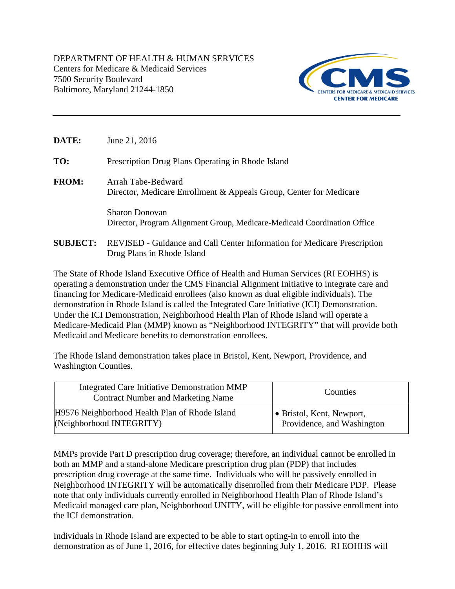DEPARTMENT OF HEALTH & HUMAN SERVICES Centers for Medicare & Medicaid Services 7500 Security Boulevard Baltimore, Maryland 21244-1850



| <b>DATE:</b>    | June 21, 2016                                                                                     |
|-----------------|---------------------------------------------------------------------------------------------------|
| TO:             | Prescription Drug Plans Operating in Rhode Island                                                 |
| <b>FROM:</b>    | Arrah Tabe-Bedward<br>Director, Medicare Enrollment & Appeals Group, Center for Medicare          |
|                 | <b>Sharon Donovan</b><br>Director, Program Alignment Group, Medicare-Medicaid Coordination Office |
| <b>SUBJECT:</b> | REVISED - Guidance and Call Center Information for Medicare Prescription                          |

Drug Plans in Rhode Island

The State of Rhode Island Executive Office of Health and Human Services (RI EOHHS) is operating a demonstration under the CMS Financial Alignment Initiative to integrate care and financing for Medicare-Medicaid enrollees (also known as dual eligible individuals). The demonstration in Rhode Island is called the Integrated Care Initiative (ICI) Demonstration. Under the ICI Demonstration, Neighborhood Health Plan of Rhode Island will operate a Medicare-Medicaid Plan (MMP) known as "Neighborhood INTEGRITY" that will provide both Medicaid and Medicare benefits to demonstration enrollees.

The Rhode Island demonstration takes place in Bristol, Kent, Newport, Providence, and Washington Counties.

| Integrated Care Initiative Demonstration MMP<br><b>Contract Number and Marketing Name</b> | Counties                          |
|-------------------------------------------------------------------------------------------|-----------------------------------|
| H9576 Neighborhood Health Plan of Rhode Island                                            | $\bullet$ Bristol, Kent, Newport, |
| (Neighborhood INTEGRITY)                                                                  | Providence, and Washington        |

MMPs provide Part D prescription drug coverage; therefore, an individual cannot be enrolled in both an MMP and a stand-alone Medicare prescription drug plan (PDP) that includes prescription drug coverage at the same time. Individuals who will be passively enrolled in Neighborhood INTEGRITY will be automatically disenrolled from their Medicare PDP. Please note that only individuals currently enrolled in Neighborhood Health Plan of Rhode Island's Medicaid managed care plan, Neighborhood UNITY, will be eligible for passive enrollment into the ICI demonstration.

Individuals in Rhode Island are expected to be able to start opting-in to enroll into the demonstration as of June 1, 2016, for effective dates beginning July 1, 2016. RI EOHHS will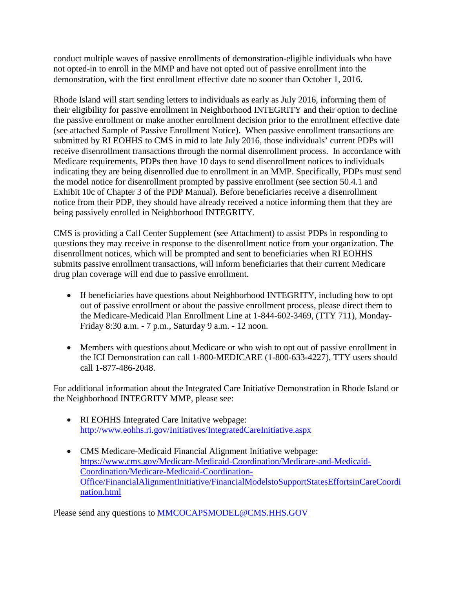conduct multiple waves of passive enrollments of demonstration-eligible individuals who have not opted-in to enroll in the MMP and have not opted out of passive enrollment into the demonstration, with the first enrollment effective date no sooner than October 1, 2016.

Rhode Island will start sending letters to individuals as early as July 2016, informing them of their eligibility for passive enrollment in Neighborhood INTEGRITY and their option to decline the passive enrollment or make another enrollment decision prior to the enrollment effective date (see attached Sample of Passive Enrollment Notice). When passive enrollment transactions are submitted by RI EOHHS to CMS in mid to late July 2016, those individuals' current PDPs will receive disenrollment transactions through the normal disenrollment process. In accordance with Medicare requirements, PDPs then have 10 days to send disenrollment notices to individuals indicating they are being disenrolled due to enrollment in an MMP. Specifically, PDPs must send the model notice for disenrollment prompted by passive enrollment (see section 50.4.1 and Exhibit 10c of Chapter 3 of the PDP Manual). Before beneficiaries receive a disenrollment notice from their PDP, they should have already received a notice informing them that they are being passively enrolled in Neighborhood INTEGRITY.

CMS is providing a Call Center Supplement (see Attachment) to assist PDPs in responding to questions they may receive in response to the disenrollment notice from your organization. The disenrollment notices, which will be prompted and sent to beneficiaries when RI EOHHS submits passive enrollment transactions, will inform beneficiaries that their current Medicare drug plan coverage will end due to passive enrollment.

- If beneficiaries have questions about Neighborhood INTEGRITY, including how to opt out of passive enrollment or about the passive enrollment process, please direct them to the Medicare-Medicaid Plan Enrollment Line at 1-844-602-3469, (TTY 711), Monday-Friday 8:30 a.m. - 7 p.m., Saturday 9 a.m. - 12 noon.
- Members with questions about Medicare or who wish to opt out of passive enrollment in the ICI Demonstration can call 1-800-MEDICARE (1-800-633-4227), TTY users should call 1-877-486-2048.

For additional information about the Integrated Care Initiative Demonstration in Rhode Island or the Neighborhood INTEGRITY MMP, please see:

- RI EOHHS Integrated Care Initative webpage: <http://www.eohhs.ri.gov/Initiatives/IntegratedCareInitiative.aspx>
- CMS Medicare-Medicaid Financial Alignment Initiative webpage: [https://www.cms.gov/Medicare-Medicaid-Coordination/Medicare-and-Medicaid-](https://www.cms.gov/Medicare-Medicaid-Coordination/Medicare-and-Medicaid-Coordination/Medicare-Medicaid-Coordination-Office/FinancialAlignmentInitiative/FinancialModelstoSupportStatesEffortsinCareCoordination.html)[Coordination/Medicare-Medicaid-Coordination-](https://www.cms.gov/Medicare-Medicaid-Coordination/Medicare-and-Medicaid-Coordination/Medicare-Medicaid-Coordination-Office/FinancialAlignmentInitiative/FinancialModelstoSupportStatesEffortsinCareCoordination.html)[Office/FinancialAlignmentInitiative/FinancialModelstoSupportStatesEffortsinCareCoordi](https://www.cms.gov/Medicare-Medicaid-Coordination/Medicare-and-Medicaid-Coordination/Medicare-Medicaid-Coordination-Office/FinancialAlignmentInitiative/FinancialModelstoSupportStatesEffortsinCareCoordination.html) [nation.html](https://www.cms.gov/Medicare-Medicaid-Coordination/Medicare-and-Medicaid-Coordination/Medicare-Medicaid-Coordination-Office/FinancialAlignmentInitiative/FinancialModelstoSupportStatesEffortsinCareCoordination.html)

Please send any questions to [MMCOCAPSMODEL@CMS.HHS.GOV](mailto:MMCOCAPSMODEL@CMS.HHS.GOV)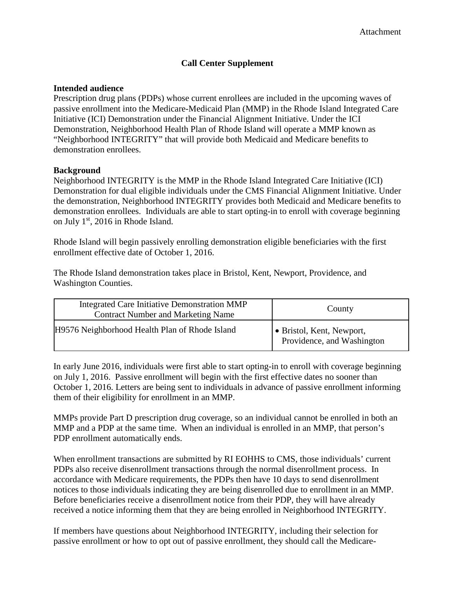#### **Call Center Supplement**

#### **Intended audience**

Prescription drug plans (PDPs) whose current enrollees are included in the upcoming waves of passive enrollment into the Medicare-Medicaid Plan (MMP) in the Rhode Island Integrated Care Initiative (ICI) Demonstration under the Financial Alignment Initiative. Under the ICI Demonstration, Neighborhood Health Plan of Rhode Island will operate a MMP known as "Neighborhood INTEGRITY" that will provide both Medicaid and Medicare benefits to demonstration enrollees.

#### **Background**

Neighborhood INTEGRITY is the MMP in the Rhode Island Integrated Care Initiative (ICI) Demonstration for dual eligible individuals under the CMS Financial Alignment Initiative. Under the demonstration, Neighborhood INTEGRITY provides both Medicaid and Medicare benefits to demonstration enrollees. Individuals are able to start opting-in to enroll with coverage beginning on July 1st, 2016 in Rhode Island.

Rhode Island will begin passively enrolling demonstration eligible beneficiaries with the first enrollment effective date of October 1, 2016.

The Rhode Island demonstration takes place in Bristol, Kent, Newport, Providence, and Washington Counties.

| <b>Integrated Care Initiative Demonstration MMP</b><br><b>Contract Number and Marketing Name</b> | County                                                  |
|--------------------------------------------------------------------------------------------------|---------------------------------------------------------|
| H9576 Neighborhood Health Plan of Rhode Island                                                   | • Bristol, Kent, Newport,<br>Providence, and Washington |

In early June 2016, individuals were first able to start opting-in to enroll with coverage beginning on July 1, 2016. Passive enrollment will begin with the first effective dates no sooner than October 1, 2016. Letters are being sent to individuals in advance of passive enrollment informing them of their eligibility for enrollment in an MMP.

MMPs provide Part D prescription drug coverage, so an individual cannot be enrolled in both an MMP and a PDP at the same time. When an individual is enrolled in an MMP, that person's PDP enrollment automatically ends.

When enrollment transactions are submitted by RI EOHHS to CMS, those individuals' current PDPs also receive disenrollment transactions through the normal disenrollment process. In accordance with Medicare requirements, the PDPs then have 10 days to send disenrollment notices to those individuals indicating they are being disenrolled due to enrollment in an MMP. Before beneficiaries receive a disenrollment notice from their PDP, they will have already received a notice informing them that they are being enrolled in Neighborhood INTEGRITY.

If members have questions about Neighborhood INTEGRITY, including their selection for passive enrollment or how to opt out of passive enrollment, they should call the Medicare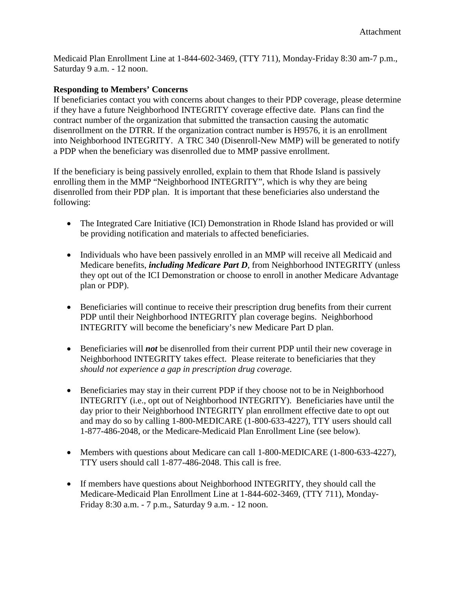Medicaid Plan Enrollment Line at 1-844-602-3469, (TTY 711), Monday-Friday 8:30 am-7 p.m., Saturday 9 a.m. - 12 noon.

#### **Responding to Members' Concerns**

If beneficiaries contact you with concerns about changes to their PDP coverage, please determine if they have a future Neighborhood INTEGRITY coverage effective date. Plans can find the contract number of the organization that submitted the transaction causing the automatic disenrollment on the DTRR. If the organization contract number is H9576, it is an enrollment into Neighborhood INTEGRITY. A TRC 340 (Disenroll-New MMP) will be generated to notify a PDP when the beneficiary was disenrolled due to MMP passive enrollment.

If the beneficiary is being passively enrolled, explain to them that Rhode Island is passively enrolling them in the MMP "Neighborhood INTEGRITY", which is why they are being disenrolled from their PDP plan. It is important that these beneficiaries also understand the following:

- The Integrated Care Initiative (ICI) Demonstration in Rhode Island has provided or will be providing notification and materials to affected beneficiaries.
- Individuals who have been passively enrolled in an MMP will receive all Medicaid and Medicare benefits, *including Medicare Part D*, from Neighborhood INTEGRITY (unless they opt out of the ICI Demonstration or choose to enroll in another Medicare Advantage plan or PDP).
- Beneficiaries will continue to receive their prescription drug benefits from their current PDP until their Neighborhood INTEGRITY plan coverage begins. Neighborhood INTEGRITY will become the beneficiary's new Medicare Part D plan.
- Beneficiaries will *not* be disenrolled from their current PDP until their new coverage in Neighborhood INTEGRITY takes effect. Please reiterate to beneficiaries that they *should not experience a gap in prescription drug coverage*.
- Beneficiaries may stay in their current PDP if they choose not to be in Neighborhood INTEGRITY (i.e., opt out of Neighborhood INTEGRITY). Beneficiaries have until the day prior to their Neighborhood INTEGRITY plan enrollment effective date to opt out and may do so by calling 1-800-MEDICARE (1-800-633-4227), TTY users should call 1-877-486-2048, or the Medicare-Medicaid Plan Enrollment Line (see below).
- Members with questions about Medicare can call 1-800-MEDICARE (1-800-633-4227), TTY users should call 1-877-486-2048. This call is free.
- If members have questions about Neighborhood INTEGRITY, they should call the Medicare-Medicaid Plan Enrollment Line at 1-844-602-3469, (TTY 711), Monday-Friday 8:30 a.m. - 7 p.m., Saturday 9 a.m. - 12 noon.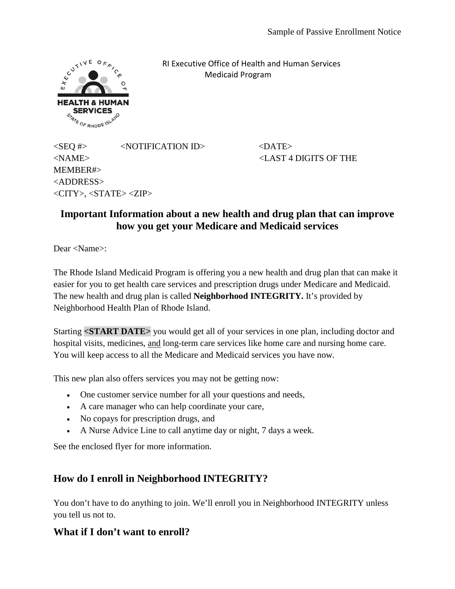

 RI Executive Office of Health and Human Services Medicaid Program

 $\langle$ SEQ #>  $\langle$ NOTIFICATION ID>  $\langle$ DATE> <NAME> <LAST 4 DIGITS OF THE MEMBER#> <ADDRESS>  $\langle CITY \rangle$ ,  $\langle STATE \rangle \langle ZIP \rangle$ 

## **Important Information about a new health and drug plan that can improve how you get your Medicare and Medicaid services**

Dear <Name>:

The Rhode Island Medicaid Program is offering you a new health and drug plan that can make it easier for you to get health care services and prescription drugs under Medicare and Medicaid. The new health and drug plan is called **Neighborhood INTEGRITY.** It's provided by Neighborhood Health Plan of Rhode Island.

Starting **<START DATE>** you would get all of your services in one plan, including doctor and hospital visits, medicines, and long-term care services like home care and nursing home care. You will keep access to all the Medicare and Medicaid services you have now.

This new plan also offers services you may not be getting now:

- One customer service number for all your questions and needs,
- A care manager who can help coordinate your care,
- No copays for prescription drugs, and
- A Nurse Advice Line to call anytime day or night, 7 days a week.

See the enclosed flyer for more information.

## **How do I enroll in Neighborhood INTEGRITY?**

You don't have to do anything to join. We'll enroll you in Neighborhood INTEGRITY unless you tell us not to.

## **What if I don't want to enroll?**